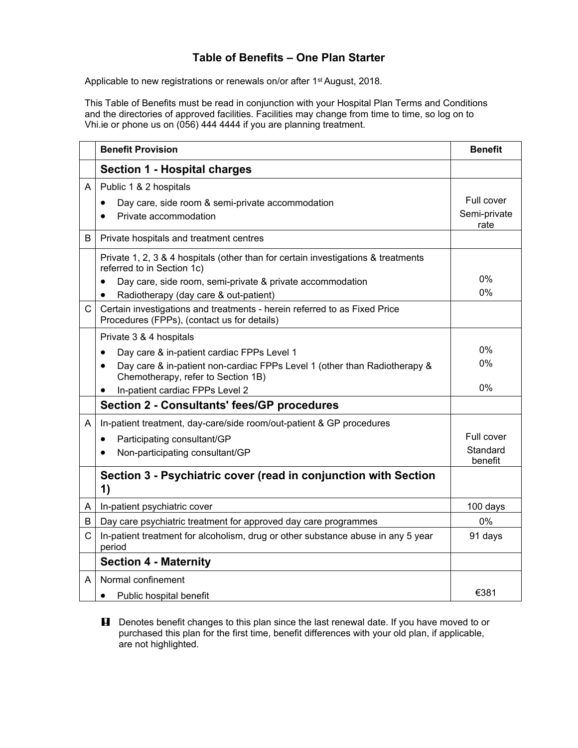## **Table of Benefits – One Plan Starter**

Applicable to new registrations or renewals on/or after 1<sup>st</sup> August, 2018.

This Table of Benefits must be read in conjunction with your Hospital Plan Terms and Conditions and the directories of approved facilities. Facilities may change from time to time, so log on to Vhi.ie or phone us on (056) 444 4444 if you are planning treatment.

|   | <b>Benefit Provision</b>                                                                                                                                                       | <b>Benefit</b>                     |
|---|--------------------------------------------------------------------------------------------------------------------------------------------------------------------------------|------------------------------------|
|   | <b>Section 1 - Hospital charges</b>                                                                                                                                            |                                    |
| A | Public 1 & 2 hospitals<br>Day care, side room & semi-private accommodation<br>$\bullet$<br>Private accommodation                                                               | Full cover<br>Semi-private<br>rate |
| B | Private hospitals and treatment centres                                                                                                                                        |                                    |
|   | Private 1, 2, 3 & 4 hospitals (other than for certain investigations & treatments<br>referred to in Section 1c)                                                                |                                    |
|   | Day care, side room, semi-private & private accommodation<br>$\bullet$                                                                                                         | 0%<br>$0\%$                        |
| C | Radiotherapy (day care & out-patient)<br>$\bullet$<br>Certain investigations and treatments - herein referred to as Fixed Price<br>Procedures (FPPs), (contact us for details) |                                    |
|   | Private 3 & 4 hospitals                                                                                                                                                        |                                    |
|   | Day care & in-patient cardiac FPPs Level 1<br>٠                                                                                                                                | 0%                                 |
|   | Day care & in-patient non-cardiac FPPs Level 1 (other than Radiotherapy &<br>$\bullet$<br>Chemotherapy, refer to Section 1B)                                                   | $0\%$                              |
|   | In-patient cardiac FPPs Level 2<br>٠                                                                                                                                           | 0%                                 |
|   | <b>Section 2 - Consultants' fees/GP procedures</b>                                                                                                                             |                                    |
| A | In-patient treatment, day-care/side room/out-patient & GP procedures                                                                                                           |                                    |
|   | Participating consultant/GP<br>$\bullet$                                                                                                                                       | Full cover                         |
|   | Non-participating consultant/GP<br>$\bullet$                                                                                                                                   | Standard<br>benefit                |
|   | Section 3 - Psychiatric cover (read in conjunction with Section<br>1)                                                                                                          |                                    |
| A | In-patient psychiatric cover                                                                                                                                                   | 100 days                           |
| B | Day care psychiatric treatment for approved day care programmes                                                                                                                | 0%                                 |
| C | In-patient treatment for alcoholism, drug or other substance abuse in any 5 year<br>period                                                                                     | 91 days                            |
|   | <b>Section 4 - Maternity</b>                                                                                                                                                   |                                    |
| A | Normal confinement                                                                                                                                                             |                                    |
|   | Public hospital benefit<br>$\bullet$                                                                                                                                           | €381                               |

**H** Denotes benefit changes to this plan since the last renewal date. If you have moved to or purchased this plan for the first time, benefit differences with your old plan, if applicable, are not highlighted.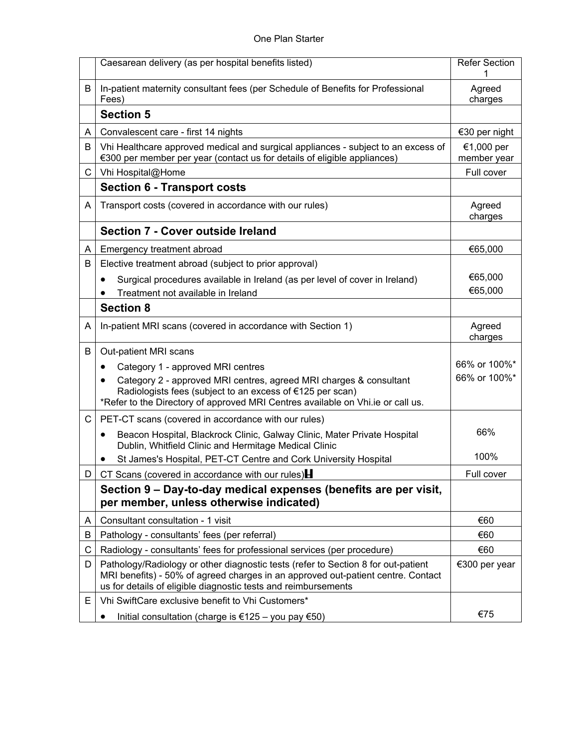|    | Caesarean delivery (as per hospital benefits listed)                                                                                                                                                                                    | Refer Section             |
|----|-----------------------------------------------------------------------------------------------------------------------------------------------------------------------------------------------------------------------------------------|---------------------------|
| В  | In-patient maternity consultant fees (per Schedule of Benefits for Professional<br>Fees)                                                                                                                                                | Agreed<br>charges         |
|    | <b>Section 5</b>                                                                                                                                                                                                                        |                           |
| A  | Convalescent care - first 14 nights                                                                                                                                                                                                     | €30 per night             |
| B  | Vhi Healthcare approved medical and surgical appliances - subject to an excess of<br>€300 per member per year (contact us for details of eligible appliances)                                                                           | €1,000 per<br>member year |
| С  | Vhi Hospital@Home                                                                                                                                                                                                                       | Full cover                |
|    | <b>Section 6 - Transport costs</b>                                                                                                                                                                                                      |                           |
| A  | Transport costs (covered in accordance with our rules)                                                                                                                                                                                  | Agreed<br>charges         |
|    | Section 7 - Cover outside Ireland                                                                                                                                                                                                       |                           |
| A  | Emergency treatment abroad                                                                                                                                                                                                              | €65,000                   |
| В  | Elective treatment abroad (subject to prior approval)                                                                                                                                                                                   |                           |
|    | Surgical procedures available in Ireland (as per level of cover in Ireland)<br>٠                                                                                                                                                        | €65,000                   |
|    | Treatment not available in Ireland                                                                                                                                                                                                      | €65,000                   |
|    | <b>Section 8</b>                                                                                                                                                                                                                        |                           |
| A  | In-patient MRI scans (covered in accordance with Section 1)                                                                                                                                                                             | Agreed<br>charges         |
| В  | Out-patient MRI scans                                                                                                                                                                                                                   |                           |
|    | Category 1 - approved MRI centres<br>$\bullet$                                                                                                                                                                                          | 66% or 100%*              |
|    | Category 2 - approved MRI centres, agreed MRI charges & consultant<br>٠<br>Radiologists fees (subject to an excess of €125 per scan)<br>*Refer to the Directory of approved MRI Centres available on Vhi.ie or call us.                 | 66% or 100%*              |
| C  | PET-CT scans (covered in accordance with our rules)                                                                                                                                                                                     |                           |
|    | Beacon Hospital, Blackrock Clinic, Galway Clinic, Mater Private Hospital<br>$\bullet$<br>Dublin, Whitfield Clinic and Hermitage Medical Clinic                                                                                          | 66%                       |
|    | St James's Hospital, PET-CT Centre and Cork University Hospital                                                                                                                                                                         | 100%                      |
| D  | CT Scans (covered in accordance with our rules)                                                                                                                                                                                         | Full cover                |
|    | Section 9 - Day-to-day medical expenses (benefits are per visit,<br>per member, unless otherwise indicated)                                                                                                                             |                           |
| A  | Consultant consultation - 1 visit                                                                                                                                                                                                       | €60                       |
| B  | Pathology - consultants' fees (per referral)                                                                                                                                                                                            | €60                       |
| С  | Radiology - consultants' fees for professional services (per procedure)                                                                                                                                                                 | €60                       |
| D  | Pathology/Radiology or other diagnostic tests (refer to Section 8 for out-patient<br>MRI benefits) - 50% of agreed charges in an approved out-patient centre. Contact<br>us for details of eligible diagnostic tests and reimbursements | €300 per year             |
| Е. | Vhi SwiftCare exclusive benefit to Vhi Customers*                                                                                                                                                                                       |                           |
|    | Initial consultation (charge is €125 - you pay €50)                                                                                                                                                                                     | €75                       |